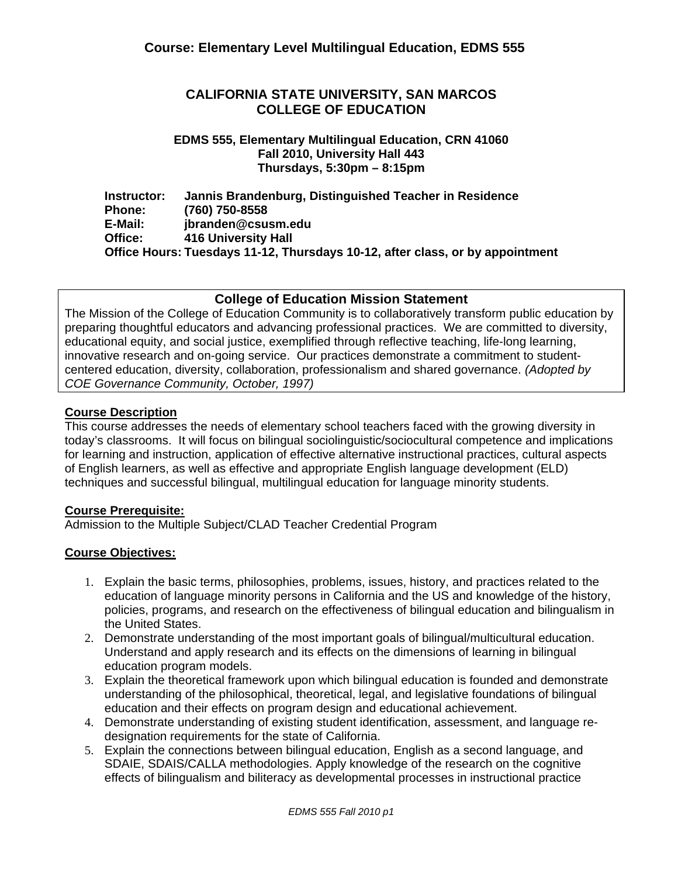# **CALIFORNIA STATE UNIVERSITY, SAN MARCOS COLLEGE OF EDUCATION**

#### **EDMS 555, Elementary Multilingual Education, CRN 41060 Fall 2010, University Hall 443 Thursdays, 5:30pm – 8:15pm**

**Instructor: Phone: E-Mail: Office: Jannis Brandenburg, Distinguished Teacher in Residence (760) 750-8558 jbranden@csusm.edu 416 University Hall Office Hours: Tuesdays 11-12, Thursdays 10-12, after class, or by appointment** 

# **College of Education Mission Statement**

The Mission of the College of Education Community is to collaboratively transform public education by preparing thoughtful educators and advancing professional practices. We are committed to diversity, educational equity, and social justice, exemplified through reflective teaching, life-long learning, innovative research and on-going service. Our practices demonstrate a commitment to studentcentered education, diversity, collaboration, professionalism and shared governance. *(Adopted by COE Governance Community, October, 1997)* 

## **Course Description**

This course addresses the needs of elementary school teachers faced with the growing diversity in today's classrooms. It will focus on bilingual sociolinguistic/sociocultural competence and implications for learning and instruction, application of effective alternative instructional practices, cultural aspects of English learners, as well as effective and appropriate English language development (ELD) techniques and successful bilingual, multilingual education for language minority students.

# **Course Prerequisite:**

Admission to the Multiple Subject/CLAD Teacher Credential Program

# **Course Objectives:**

- the United States. 1. Explain the basic terms, philosophies, problems, issues, history, and practices related to the education of language minority persons in California and the US and knowledge of the history, policies, programs, and research on the effectiveness of bilingual education and bilingualism in
- education program models. 2. Demonstrate understanding of the most important goals of bilingual/multicultural education. Understand and apply research and its effects on the dimensions of learning in bilingual
- education and their effects on program design and educational achievement. 3. Explain the theoretical framework upon which bilingual education is founded and demonstrate understanding of the philosophical, theoretical, legal, and legislative foundations of bilingual
- designation requirements for the state of California. 4. Demonstrate understanding of existing student identification, assessment, and language re-
- effects of bilingualism and biliteracy as developmental processes in instructional practice 5. Explain the connections between bilingual education, English as a second language, and SDAIE, SDAIS/CALLA methodologies. Apply knowledge of the research on the cognitive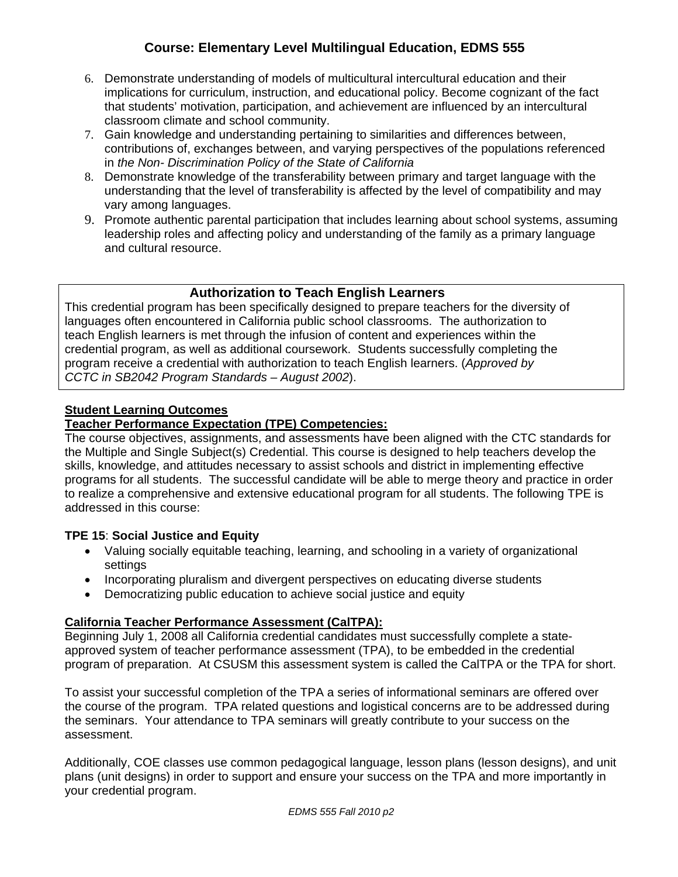- classroom climate and school community. 6. Demonstrate understanding of models of multicultural intercultural education and their implications for curriculum, instruction, and educational policy. Become cognizant of the fact that students' motivation, participation, and achievement are influenced by an intercultural
- in *the Non- Discrimination Policy of the State of California* 7. Gain knowledge and understanding pertaining to similarities and differences between, contributions of, exchanges between, and varying perspectives of the populations referenced
- vary among languages. 8. Demonstrate knowledge of the transferability between primary and target language with the understanding that the level of transferability is affected by the level of compatibility and may
- and cultural resource. 9. Promote authentic parental participation that includes learning about school systems, assuming leadership roles and affecting policy and understanding of the family as a primary language

# **Authorization to Teach English Learners**

This credential program has been specifically designed to prepare teachers for the diversity of languages often encountered in California public school classrooms. The authorization to teach English learners is met through the infusion of content and experiences within the credential program, as well as additional coursework. Students successfully completing the program receive a credential with authorization to teach English learners. (*Approved by CCTC in SB2042 Program Standards – August 2002*).

## **Student Learning Outcomes**

## **Teacher Performance Expectation (TPE) Competencies:**

The course objectives, assignments, and assessments have been aligned with the CTC standards for the Multiple and Single Subject(s) Credential. This course is designed to help teachers develop the skills, knowledge, and attitudes necessary to assist schools and district in implementing effective programs for all students. The successful candidate will be able to merge theory and practice in order to realize a comprehensive and extensive educational program for all students. The following TPE is addressed in this course:

#### **TPE 15**: **Social Justice and Equity**

- Valuing socially equitable teaching, learning, and schooling in a variety of organizational settings
- Incorporating pluralism and divergent perspectives on educating diverse students
- Democratizing public education to achieve social justice and equity

#### **California Teacher Performance Assessment (CalTPA):**

Beginning July 1, 2008 all California credential candidates must successfully complete a stateapproved system of teacher performance assessment (TPA), to be embedded in the credential program of preparation. At CSUSM this assessment system is called the CalTPA or the TPA for short.

To assist your successful completion of the TPA a series of informational seminars are offered over the course of the program. TPA related questions and logistical concerns are to be addressed during the seminars. Your attendance to TPA seminars will greatly contribute to your success on the assessment.

Additionally, COE classes use common pedagogical language, lesson plans (lesson designs), and unit plans (unit designs) in order to support and ensure your success on the TPA and more importantly in your credential program.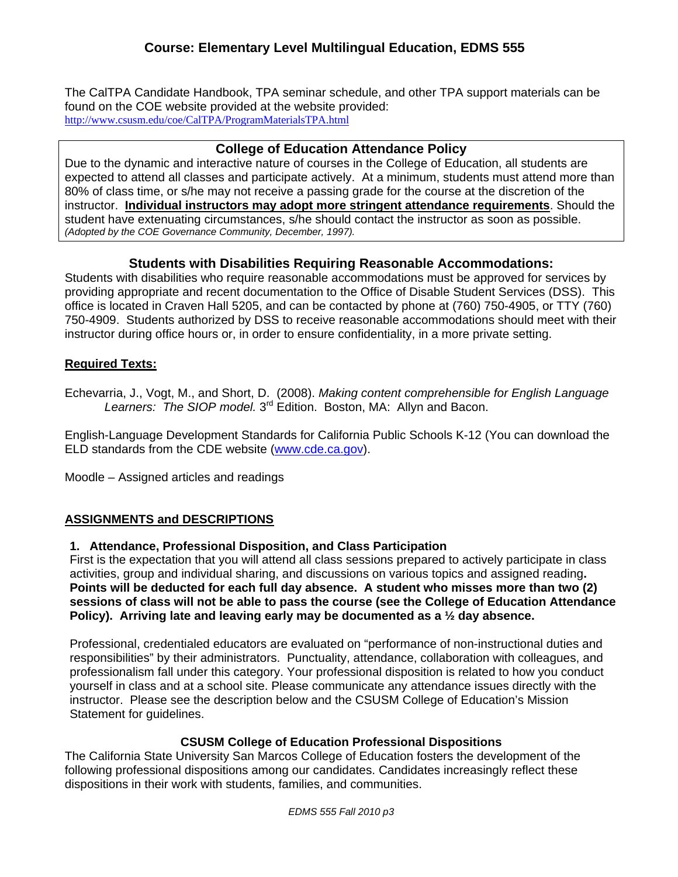The CalTPA Candidate Handbook, TPA seminar schedule, and other TPA support materials can be found on the COE website provided at the website provided: http://www.csusm.edu/coe/CalTPA/ProgramMaterialsTPA.html

## **College of Education Attendance Policy**

 student have extenuating circumstances, s/he should contact the instructor as soon as possible. Due to the dynamic and interactive nature of courses in the College of Education, all students are expected to attend all classes and participate actively. At a minimum, students must attend more than 80% of class time, or s/he may not receive a passing grade for the course at the discretion of the instructor. **Individual instructors may adopt more stringent attendance requirements**. Should the *(Adopted by the COE Governance Community, December, 1997).* 

# **Students with Disabilities Requiring Reasonable Accommodations:**

Students with disabilities who require reasonable accommodations must be approved for services by providing appropriate and recent documentation to the Office of Disable Student Services (DSS). This office is located in Craven Hall 5205, and can be contacted by phone at (760) 750-4905, or TTY (760) 750-4909. Students authorized by DSS to receive reasonable accommodations should meet with their instructor during office hours or, in order to ensure confidentiality, in a more private setting.

## **Required Texts:**

Echevarria, J., Vogt, M., and Short, D. (2008). *Making content comprehensible for English Language*  Learners: The SIOP model. 3<sup>rd</sup> Edition. Boston, MA: Allyn and Bacon.

English-Language Development Standards for California Public Schools K-12 (You can download the ELD standards from the CDE website (www.cde.ca.gov).

Moodle – Assigned articles and readings

# **ASSIGNMENTS and DESCRIPTIONS**

#### **1. Attendance, Professional Disposition, and Class Participation**

 **Policy). Arriving late and leaving early may be documented as a ½ day absence.** First is the expectation that you will attend all class sessions prepared to actively participate in class activities, group and individual sharing, and discussions on various topics and assigned reading**. Points will be deducted for each full day absence. A student who misses more than two (2) sessions of class will not be able to pass the course (see the College of Education Attendance** 

Professional, credentialed educators are evaluated on "performance of non-instructional duties and responsibilities" by their administrators. Punctuality, attendance, collaboration with colleagues, and professionalism fall under this category. Your professional disposition is related to how you conduct yourself in class and at a school site. Please communicate any attendance issues directly with the instructor. Please see the description below and the CSUSM College of Education's Mission Statement for guidelines.

#### **CSUSM College of Education Professional Dispositions**

The California State University San Marcos College of Education fosters the development of the following professional dispositions among our candidates. Candidates increasingly reflect these dispositions in their work with students, families, and communities.

*EDMS 555 Fall 2010 p3*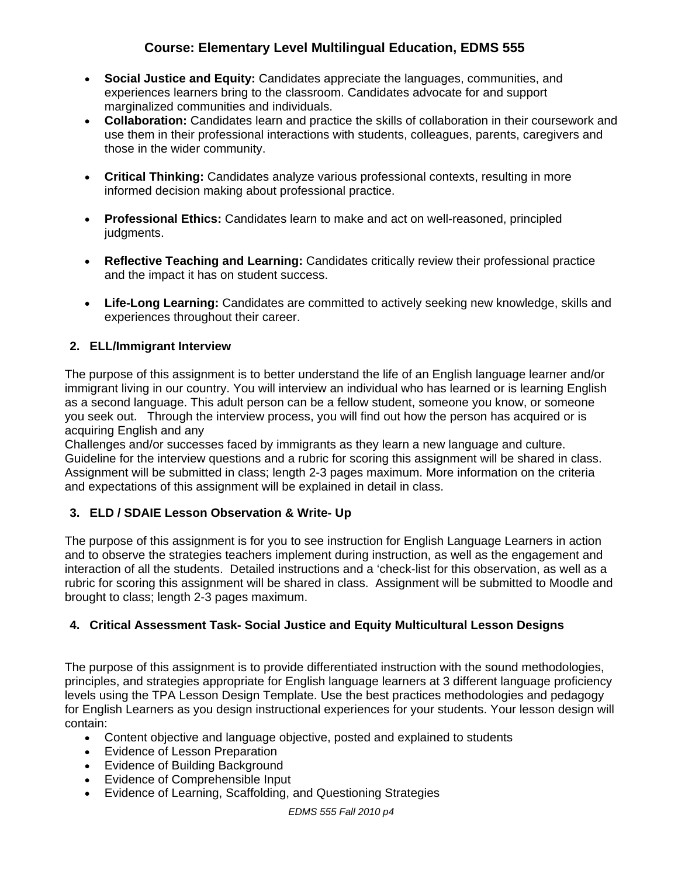- **Social Justice and Equity:** Candidates appreciate the languages, communities, and experiences learners bring to the classroom. Candidates advocate for and support marginalized communities and individuals.
- **Collaboration:** Candidates learn and practice the skills of collaboration in their coursework and use them in their professional interactions with students, colleagues, parents, caregivers and those in the wider community.
- **Critical Thinking:** Candidates analyze various professional contexts, resulting in more informed decision making about professional practice.
- **Professional Ethics:** Candidates learn to make and act on well-reasoned, principled judgments.
- **Reflective Teaching and Learning:** Candidates critically review their professional practice and the impact it has on student success.
- experiences throughout their career. **Life-Long Learning:** Candidates are committed to actively seeking new knowledge, skills and

## **2. ELL/Immigrant Interview**

The purpose of this assignment is to better understand the life of an English language learner and/or immigrant living in our country. You will interview an individual who has learned or is learning English as a second language. This adult person can be a fellow student, someone you know, or someone you seek out. Through the interview process, you will find out how the person has acquired or is acquiring English and any

Challenges and/or successes faced by immigrants as they learn a new language and culture. Guideline for the interview questions and a rubric for scoring this assignment will be shared in class. Assignment will be submitted in class; length 2-3 pages maximum. More information on the criteria and expectations of this assignment will be explained in detail in class.

# **3. ELD / SDAIE Lesson Observation & Write- Up**

The purpose of this assignment is for you to see instruction for English Language Learners in action and to observe the strategies teachers implement during instruction, as well as the engagement and interaction of all the students. Detailed instructions and a 'check-list for this observation, as well as a rubric for scoring this assignment will be shared in class. Assignment will be submitted to Moodle and brought to class; length 2-3 pages maximum.

#### **4. Critical Assessment Task- Social Justice and Equity Multicultural Lesson Designs**

The purpose of this assignment is to provide differentiated instruction with the sound methodologies, principles, and strategies appropriate for English language learners at 3 different language proficiency levels using the TPA Lesson Design Template. Use the best practices methodologies and pedagogy for English Learners as you design instructional experiences for your students. Your lesson design will contain:

- Content objective and language objective, posted and explained to students
- Evidence of Lesson Preparation
- Evidence of Building Background
- Evidence of Comprehensible Input
- Evidence of Learning, Scaffolding, and Questioning Strategies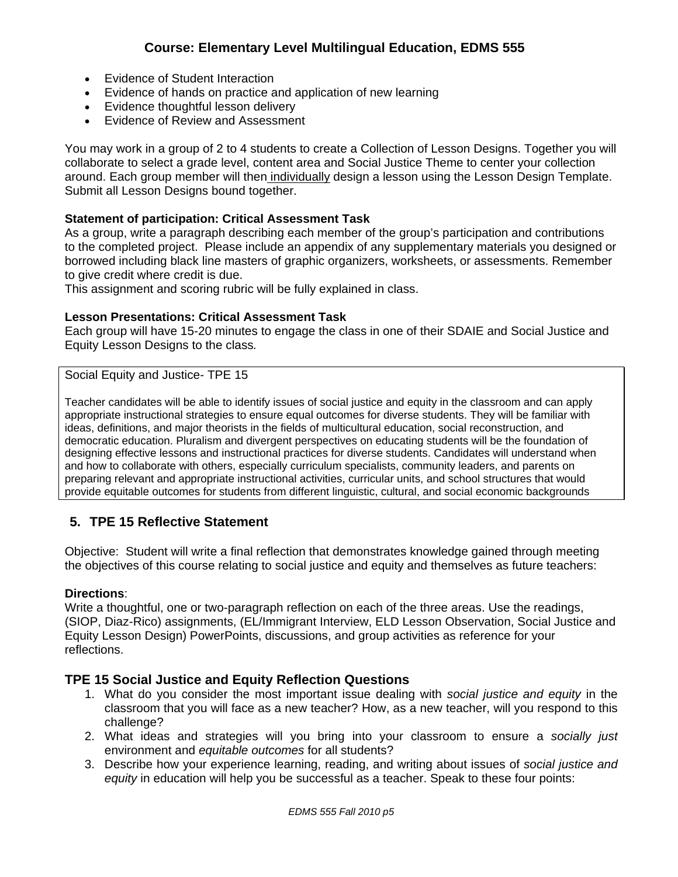- Evidence of Student Interaction
- Evidence of hands on practice and application of new learning
- Evidence thoughtful lesson delivery
- Evidence of Review and Assessment

You may work in a group of 2 to 4 students to create a Collection of Lesson Designs. Together you will collaborate to select a grade level, content area and Social Justice Theme to center your collection around. Each group member will then individually design a lesson using the Lesson Design Template. Submit all Lesson Designs bound together.

#### **Statement of participation: Critical Assessment Task**

As a group, write a paragraph describing each member of the group's participation and contributions to the completed project. Please include an appendix of any supplementary materials you designed or borrowed including black line masters of graphic organizers, worksheets, or assessments. Remember to give credit where credit is due.

This assignment and scoring rubric will be fully explained in class.

#### **Lesson Presentations: Critical Assessment Task**

Each group will have 15-20 minutes to engage the class in one of their SDAIE and Social Justice and Equity Lesson Designs to the class*.* 

Social Equity and Justice- TPE 15

Teacher candidates will be able to identify issues of social justice and equity in the classroom and can apply appropriate instructional strategies to ensure equal outcomes for diverse students. They will be familiar with ideas, definitions, and major theorists in the fields of multicultural education, social reconstruction, and democratic education. Pluralism and divergent perspectives on educating students will be the foundation of designing effective lessons and instructional practices for diverse students. Candidates will understand when and how to collaborate with others, especially curriculum specialists, community leaders, and parents on preparing relevant and appropriate instructional activities, curricular units, and school structures that would provide equitable outcomes for students from different linguistic, cultural, and social economic backgrounds

# **5. TPE 15 Reflective Statement**

Objective: Student will write a final reflection that demonstrates knowledge gained through meeting the objectives of this course relating to social justice and equity and themselves as future teachers:

#### **Directions**:

Write a thoughtful, one or two-paragraph reflection on each of the three areas. Use the readings, (SIOP, Diaz-Rico) assignments, (EL/Immigrant Interview, ELD Lesson Observation, Social Justice and Equity Lesson Design) PowerPoints, discussions, and group activities as reference for your reflections.

# **TPE 15 Social Justice and Equity Reflection Questions**

- 1. What do you consider the most important issue dealing with *social justice and equity* in the classroom that you will face as a new teacher? How, as a new teacher, will you respond to this challenge?
- 2. What ideas and strategies will you bring into your classroom to ensure a *socially just*  environment and *equitable outcomes* for all students?
- 3. Describe how your experience learning, reading, and writing about issues of *social justice and equity* in education will help you be successful as a teacher. Speak to these four points: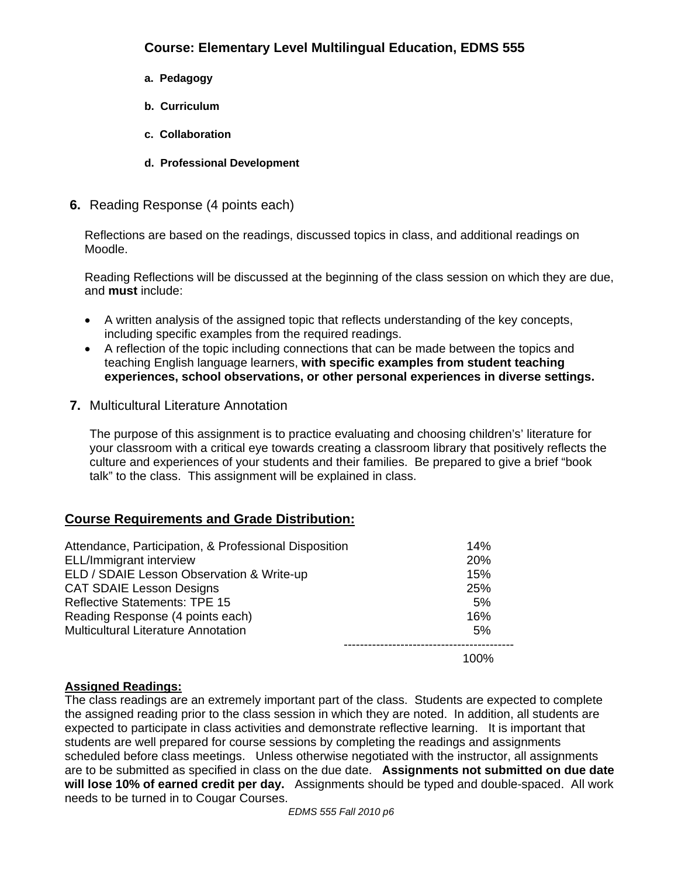- **a. Pedagogy**
- **b. Curriculum**
- **c. Collaboration**
- **d. Professional Development**
- **6.** Reading Response (4 points each)

Reflections are based on the readings, discussed topics in class, and additional readings on Moodle.

Reading Reflections will be discussed at the beginning of the class session on which they are due, and **must** include:

- A written analysis of the assigned topic that reflects understanding of the key concepts, including specific examples from the required readings.
- A reflection of the topic including connections that can be made between the topics and teaching English language learners, **with specific examples from student teaching experiences, school observations, or other personal experiences in diverse settings.**
- **7.** Multicultural Literature Annotation

The purpose of this assignment is to practice evaluating and choosing children's' literature for your classroom with a critical eye towards creating a classroom library that positively reflects the culture and experiences of your students and their families. Be prepared to give a brief "book talk" to the class. This assignment will be explained in class.

# **Course Requirements and Grade Distribution:**

| Attendance, Participation, & Professional Disposition | 14%        |
|-------------------------------------------------------|------------|
| ELL/Immigrant interview                               | <b>20%</b> |
| ELD / SDAIE Lesson Observation & Write-up             | 15%        |
| <b>CAT SDAIE Lesson Designs</b>                       | 25%        |
| <b>Reflective Statements: TPE 15</b>                  | 5%         |
| Reading Response (4 points each)                      | 16%        |
| <b>Multicultural Literature Annotation</b>            | 5%         |
|                                                       | 100%       |

#### **Assigned Readings:**

The class readings are an extremely important part of the class. Students are expected to complete the assigned reading prior to the class session in which they are noted. In addition, all students are expected to participate in class activities and demonstrate reflective learning. It is important that students are well prepared for course sessions by completing the readings and assignments scheduled before class meetings. Unless otherwise negotiated with the instructor, all assignments are to be submitted as specified in class on the due date. **Assignments not submitted on due date will lose 10% of earned credit per day.** Assignments should be typed and double-spaced. All work needs to be turned in to Cougar Courses.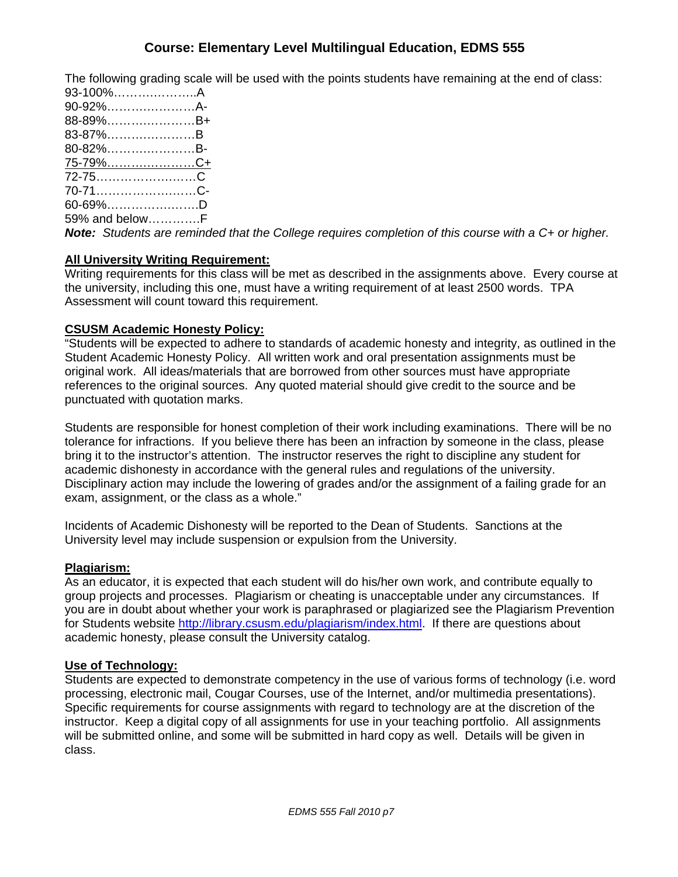The following grading scale will be used with the points students have remaining at the end of class:

| 93-100%A       |  |
|----------------|--|
| 90-92%A-       |  |
| 88-89%B+       |  |
| 83-87%B        |  |
| 80-82%B-       |  |
| 75-79%C+       |  |
| 72-75C         |  |
| 70-71C-        |  |
| 60-69%D        |  |
| 59% and belowF |  |
|                |  |

*Note: Students are reminded that the College requires completion of this course with a C+ or higher.* 

#### **All University Writing Requirement:**

Writing requirements for this class will be met as described in the assignments above. Every course at the university, including this one, must have a writing requirement of at least 2500 words. TPA Assessment will count toward this requirement.

#### **CSUSM Academic Honesty Policy:**

"Students will be expected to adhere to standards of academic honesty and integrity, as outlined in the Student Academic Honesty Policy. All written work and oral presentation assignments must be original work. All ideas/materials that are borrowed from other sources must have appropriate references to the original sources. Any quoted material should give credit to the source and be punctuated with quotation marks.

Students are responsible for honest completion of their work including examinations. There will be no tolerance for infractions. If you believe there has been an infraction by someone in the class, please bring it to the instructor's attention. The instructor reserves the right to discipline any student for academic dishonesty in accordance with the general rules and regulations of the university. Disciplinary action may include the lowering of grades and/or the assignment of a failing grade for an exam, assignment, or the class as a whole."

Incidents of Academic Dishonesty will be reported to the Dean of Students. Sanctions at the University level may include suspension or expulsion from the University.

#### **Plagiarism:**

As an educator, it is expected that each student will do his/her own work, and contribute equally to group projects and processes. Plagiarism or cheating is unacceptable under any circumstances. If you are in doubt about whether your work is paraphrased or plagiarized see the Plagiarism Prevention for Students website http://library.csusm.edu/plagiarism/index.html. If there are questions about academic honesty, please consult the University catalog.

#### **Use of Technology:**

Students are expected to demonstrate competency in the use of various forms of technology (i.e. word processing, electronic mail, Cougar Courses, use of the Internet, and/or multimedia presentations). Specific requirements for course assignments with regard to technology are at the discretion of the instructor. Keep a digital copy of all assignments for use in your teaching portfolio. All assignments will be submitted online, and some will be submitted in hard copy as well. Details will be given in class.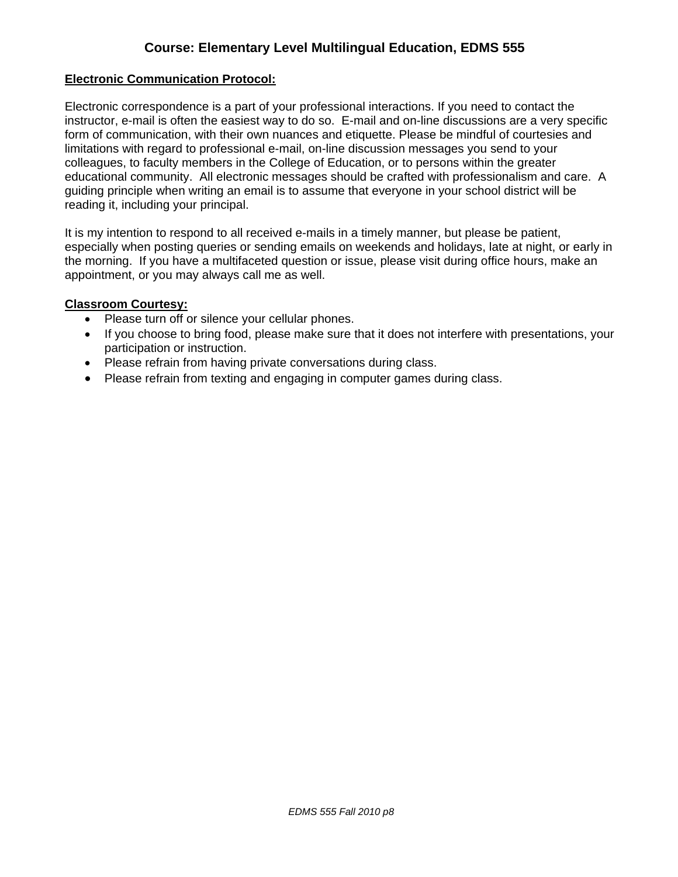#### **Electronic Communication Protocol:**

Electronic correspondence is a part of your professional interactions. If you need to contact the instructor, e-mail is often the easiest way to do so. E-mail and on-line discussions are a very specific form of communication, with their own nuances and etiquette. Please be mindful of courtesies and limitations with regard to professional e-mail, on-line discussion messages you send to your colleagues, to faculty members in the College of Education, or to persons within the greater educational community. All electronic messages should be crafted with professionalism and care. A guiding principle when writing an email is to assume that everyone in your school district will be reading it, including your principal.

It is my intention to respond to all received e-mails in a timely manner, but please be patient, especially when posting queries or sending emails on weekends and holidays, late at night, or early in the morning. If you have a multifaceted question or issue, please visit during office hours, make an appointment, or you may always call me as well.

#### **Classroom Courtesy:**

- Please turn off or silence your cellular phones.
- If you choose to bring food, please make sure that it does not interfere with presentations, your participation or instruction.
- Please refrain from having private conversations during class.
- Please refrain from texting and engaging in computer games during class.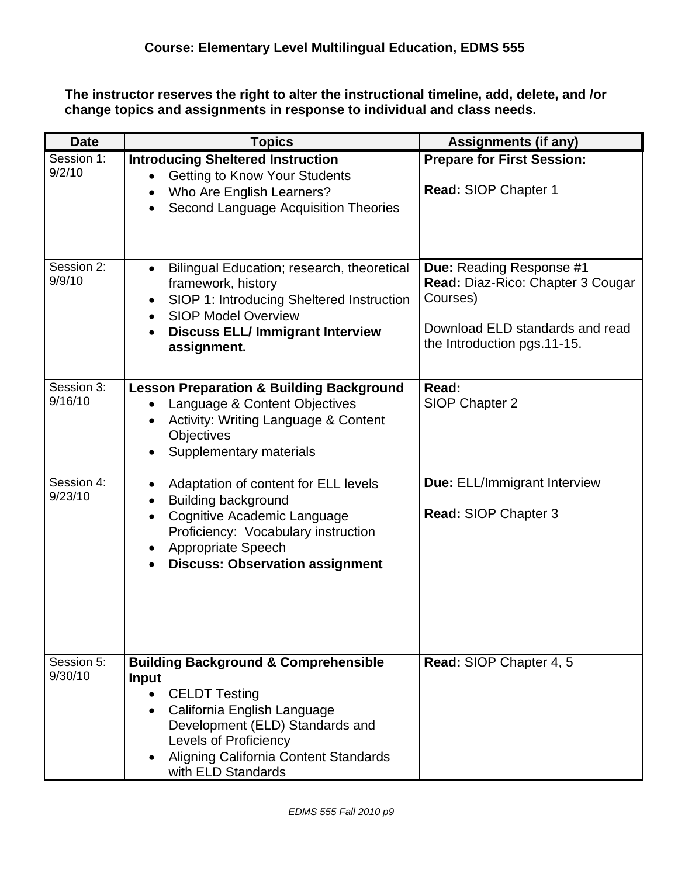**The instructor reserves the right to alter the instructional timeline, add, delete, and /or change topics and assignments in response to individual and class needs.** 

| <b>Date</b>           | <b>Topics</b>                                                                                                                                                                                                                                                               | <b>Assignments (if any)</b>                                                                                                                 |
|-----------------------|-----------------------------------------------------------------------------------------------------------------------------------------------------------------------------------------------------------------------------------------------------------------------------|---------------------------------------------------------------------------------------------------------------------------------------------|
| Session 1:<br>9/2/10  | <b>Introducing Sheltered Instruction</b><br><b>Getting to Know Your Students</b><br>Who Are English Learners?<br>$\bullet$<br>Second Language Acquisition Theories                                                                                                          | <b>Prepare for First Session:</b><br>Read: SIOP Chapter 1                                                                                   |
| Session 2:<br>9/9/10  | Bilingual Education; research, theoretical<br>$\bullet$<br>framework, history<br>SIOP 1: Introducing Sheltered Instruction<br>$\bullet$<br><b>SIOP Model Overview</b><br>$\bullet$<br><b>Discuss ELL/ Immigrant Interview</b><br>$\bullet$<br>assignment.                   | Due: Reading Response #1<br>Read: Diaz-Rico: Chapter 3 Cougar<br>Courses)<br>Download ELD standards and read<br>the Introduction pgs.11-15. |
| Session 3:<br>9/16/10 | <b>Lesson Preparation &amp; Building Background</b><br>Language & Content Objectives<br>Activity: Writing Language & Content<br>Objectives<br>Supplementary materials<br>$\bullet$                                                                                          | Read:<br><b>SIOP Chapter 2</b>                                                                                                              |
| Session 4:<br>9/23/10 | Adaptation of content for ELL levels<br>$\bullet$<br><b>Building background</b><br>$\bullet$<br>Cognitive Academic Language<br>$\bullet$<br>Proficiency: Vocabulary instruction<br><b>Appropriate Speech</b><br><b>Discuss: Observation assignment</b>                      | Due: ELL/Immigrant Interview<br><b>Read: SIOP Chapter 3</b>                                                                                 |
| Session 5:<br>9/30/10 | <b>Building Background &amp; Comprehensible</b><br><b>Input</b><br><b>CELDT Testing</b><br>$\bullet$<br>California English Language<br>$\bullet$<br>Development (ELD) Standards and<br>Levels of Proficiency<br>Aligning California Content Standards<br>with ELD Standards | Read: SIOP Chapter 4, 5                                                                                                                     |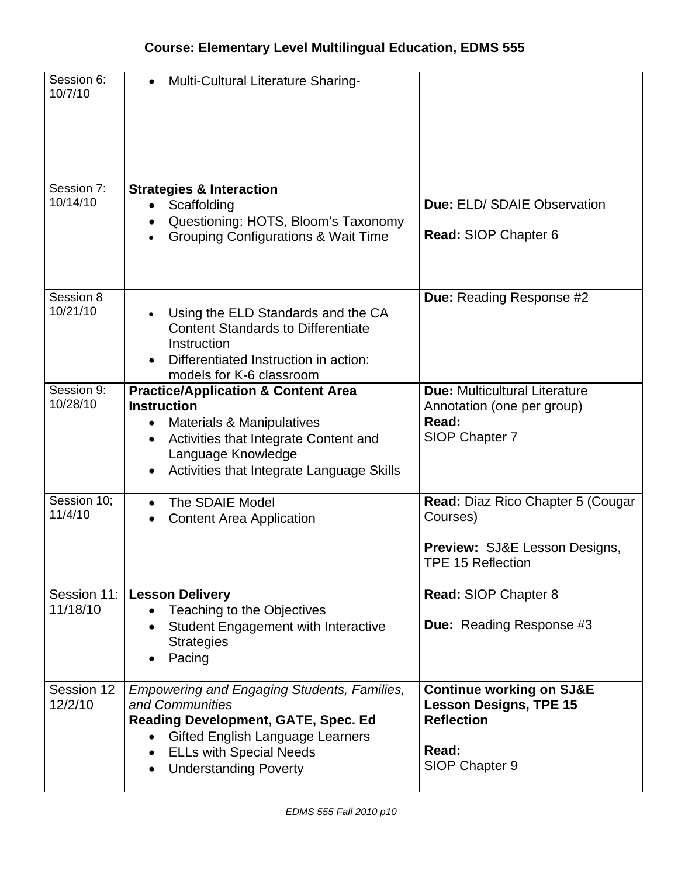| Session 6:<br>10/7/10  | <b>Multi-Cultural Literature Sharing-</b><br>$\bullet$                                                                                                                                                                                        |                                                                                                                               |
|------------------------|-----------------------------------------------------------------------------------------------------------------------------------------------------------------------------------------------------------------------------------------------|-------------------------------------------------------------------------------------------------------------------------------|
| Session 7:<br>10/14/10 | <b>Strategies &amp; Interaction</b><br>Scaffolding<br>Questioning: HOTS, Bloom's Taxonomy<br>$\bullet$<br><b>Grouping Configurations &amp; Wait Time</b>                                                                                      | <b>Due: ELD/ SDAIE Observation</b><br>Read: SIOP Chapter 6                                                                    |
| Session 8<br>10/21/10  | Using the ELD Standards and the CA<br><b>Content Standards to Differentiate</b><br>Instruction<br>Differentiated Instruction in action:<br>models for K-6 classroom                                                                           | Due: Reading Response #2                                                                                                      |
| Session 9:<br>10/28/10 | <b>Practice/Application &amp; Content Area</b><br><b>Instruction</b><br><b>Materials &amp; Manipulatives</b><br>$\bullet$<br>Activities that Integrate Content and<br>Language Knowledge<br>Activities that Integrate Language Skills         | <b>Due: Multicultural Literature</b><br>Annotation (one per group)<br>Read:<br>SIOP Chapter 7                                 |
| Session 10;<br>11/4/10 | The SDAIE Model<br><b>Content Area Application</b>                                                                                                                                                                                            | <b>Read: Diaz Rico Chapter 5 (Cougar)</b><br>Courses)<br><b>Preview: SJ&amp;E Lesson Designs,</b><br><b>TPE 15 Reflection</b> |
| 11/18/10               | Session 11:   Lesson Delivery<br>Teaching to the Objectives<br><b>Student Engagement with Interactive</b><br><b>Strategies</b><br>Pacing                                                                                                      | Read: SIOP Chapter 8<br><b>Due:</b> Reading Response #3                                                                       |
| Session 12<br>12/2/10  | <b>Empowering and Engaging Students, Families,</b><br>and Communities<br><b>Reading Development, GATE, Spec. Ed</b><br><b>Gifted English Language Learners</b><br>$\bullet$<br><b>ELLs with Special Needs</b><br><b>Understanding Poverty</b> | <b>Continue working on SJ&amp;E</b><br><b>Lesson Designs, TPE 15</b><br><b>Reflection</b><br>Read:<br>SIOP Chapter 9          |